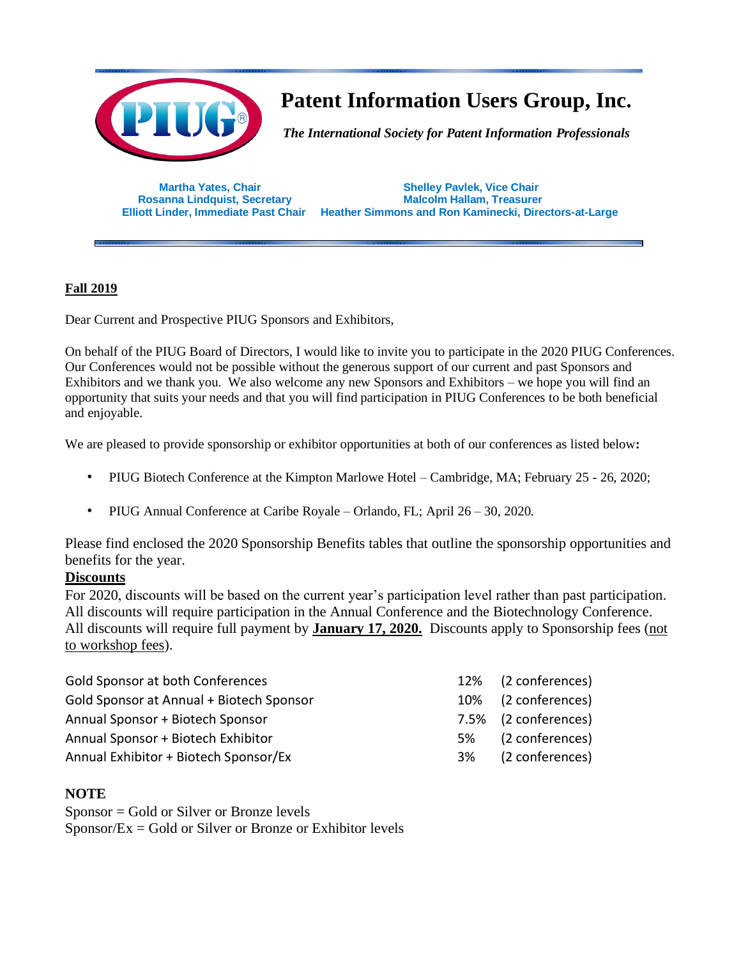

**Patent Information Users Group, Inc.**

*The International Society for Patent Information Professionals*

**Martha Yates, Chair Shelley Pavlek, Vice Chair** Shelley Pavlek, Vice Chair  **Rosanna Lindquist, Secretary <b>Malcolm Hallam, Treasurer Elliott Linder, Immediate Past Chair Heather Simmons and Ron Kaminecki, Directors-at-Large**

# **Fall 2019**

Dear Current and Prospective PIUG Sponsors and Exhibitors,

On behalf of the PIUG Board of Directors, I would like to invite you to participate in the 2020 PIUG Conferences. Our Conferences would not be possible without the generous support of our current and past Sponsors and Exhibitors and we thank you. We also welcome any new Sponsors and Exhibitors – we hope you will find an opportunity that suits your needs and that you will find participation in PIUG Conferences to be both beneficial and enjoyable.

We are pleased to provide sponsorship or exhibitor opportunities at both of our conferences as listed below**:**

- PIUG Biotech Conference at the Kimpton Marlowe Hotel Cambridge, MA; February 25 26, 2020;
- PIUG Annual Conference at Caribe Royale Orlando, FL; April 26 30, 2020.

Please find enclosed the 2020 Sponsorship Benefits tables that outline the sponsorship opportunities and benefits for the year.

### **Discounts**

For 2020, discounts will be based on the current year's participation level rather than past participation. All discounts will require participation in the Annual Conference and the Biotechnology Conference. All discounts will require full payment by **January 17, 2020.** Discounts apply to Sponsorship fees (not to workshop fees).

Gold Sponsor at both Conferences 12% (2 conferences) Gold Sponsor at Annual + Biotech Sponsor 10% (2 conferences) Annual Sponsor + Biotech Sponsor 7.5% (2 conferences) Annual Sponsor + Biotech Exhibitor 5% (2 conferences) Annual Exhibitor + Biotech Sponsor/Ex 3% (2 conferences)

# **NOTE**

Sponsor = Gold or Silver or Bronze levels  $Sponsor/Ex = Gold$  or Silver or Bronze or Exhibitor levels

- 
- 
- 
-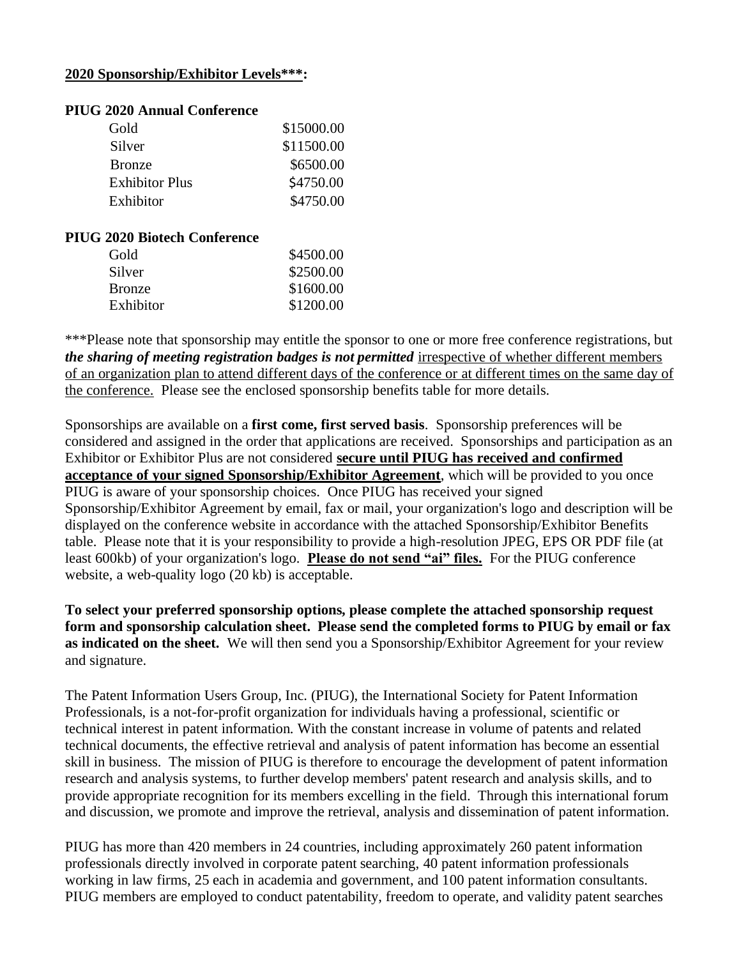#### **2020 Sponsorship/Exhibitor Levels\*\*\*:**

#### **PIUG 2020 Annual Conference**

| Gold                  | \$15000.00 |
|-----------------------|------------|
| Silver                | \$11500.00 |
| <b>Bronze</b>         | \$6500.00  |
| <b>Exhibitor Plus</b> | \$4750.00  |
| Exhibitor             | \$4750.00  |

#### **PIUG 2020 Biotech Conference**

| Gold          | \$4500.00 |
|---------------|-----------|
| Silver        | \$2500.00 |
| <b>Bronze</b> | \$1600.00 |
| Exhibitor     | \$1200.00 |

\*\*\*Please note that sponsorship may entitle the sponsor to one or more free conference registrations, but *the sharing of meeting registration badges is not permitted* irrespective of whether different members of an organization plan to attend different days of the conference or at different times on the same day of the conference. Please see the enclosed sponsorship benefits table for more details.

Sponsorships are available on a **first come, first served basis**. Sponsorship preferences will be considered and assigned in the order that applications are received. Sponsorships and participation as an Exhibitor or Exhibitor Plus are not considered **secure until PIUG has received and confirmed acceptance of your signed Sponsorship/Exhibitor Agreement**, which will be provided to you once PIUG is aware of your sponsorship choices. Once PIUG has received your signed Sponsorship/Exhibitor Agreement by email, fax or mail, your organization's logo and description will be displayed on the conference website in accordance with the attached Sponsorship/Exhibitor Benefits table. Please note that it is your responsibility to provide a high-resolution JPEG, EPS OR PDF file (at least 600kb) of your organization's logo. **Please do not send "ai" files.** For the PIUG conference website, a web-quality logo (20 kb) is acceptable.

**To select your preferred sponsorship options, please complete the attached sponsorship request form and sponsorship calculation sheet. Please send the completed forms to PIUG by email or fax as indicated on the sheet.** We will then send you a Sponsorship/Exhibitor Agreement for your review and signature.

The Patent Information Users Group, Inc. (PIUG), the International Society for Patent Information Professionals, is a not-for-profit organization for individuals having a professional, scientific or technical interest in patent information. With the constant increase in volume of patents and related technical documents, the effective retrieval and analysis of patent information has become an essential skill in business. The mission of PIUG is therefore to encourage the development of patent information research and analysis systems, to further develop members' patent research and analysis skills, and to provide appropriate recognition for its members excelling in the field. Through this international forum and discussion, we promote and improve the retrieval, analysis and dissemination of patent information.

PIUG has more than 420 members in 24 countries, including approximately 260 patent information professionals directly involved in corporate patent searching, 40 patent information professionals working in law firms, 25 each in academia and government, and 100 patent information consultants. PIUG members are employed to conduct patentability, freedom to operate, and validity patent searches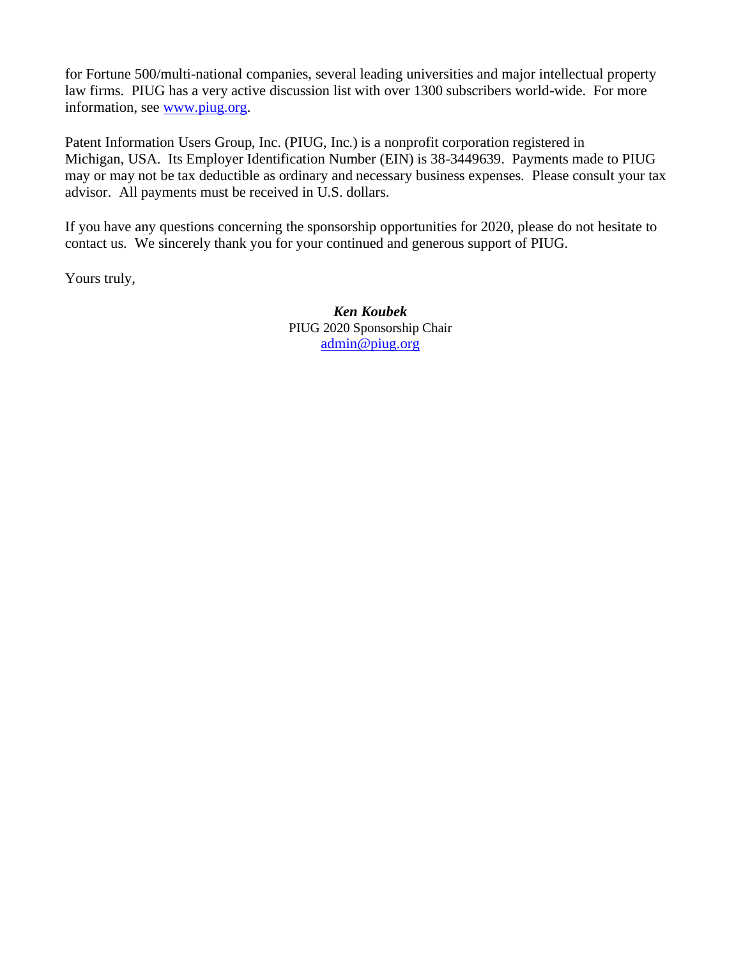for Fortune 500/multi-national companies, several leading universities and major intellectual property law firms. PIUG has a very active discussion list with over 1300 subscribers world-wide. For more information, see [www.piug.org.](http://www.piug.org/) 

Patent Information Users Group, Inc. (PIUG, Inc.) is a nonprofit corporation registered in Michigan, USA. Its Employer Identification Number (EIN) is 38-3449639. Payments made to PIUG may or may not be tax deductible as ordinary and necessary business expenses. Please consult your tax advisor. All payments must be received in U.S. dollars.

If you have any questions concerning the sponsorship opportunities for 2020, please do not hesitate to contact us. We sincerely thank you for your continued and generous support of PIUG.

Yours truly,

*Ken Koubek* PIUG 2020 Sponsorship Chair [admin@piug.org](mailto:admin@piug.org)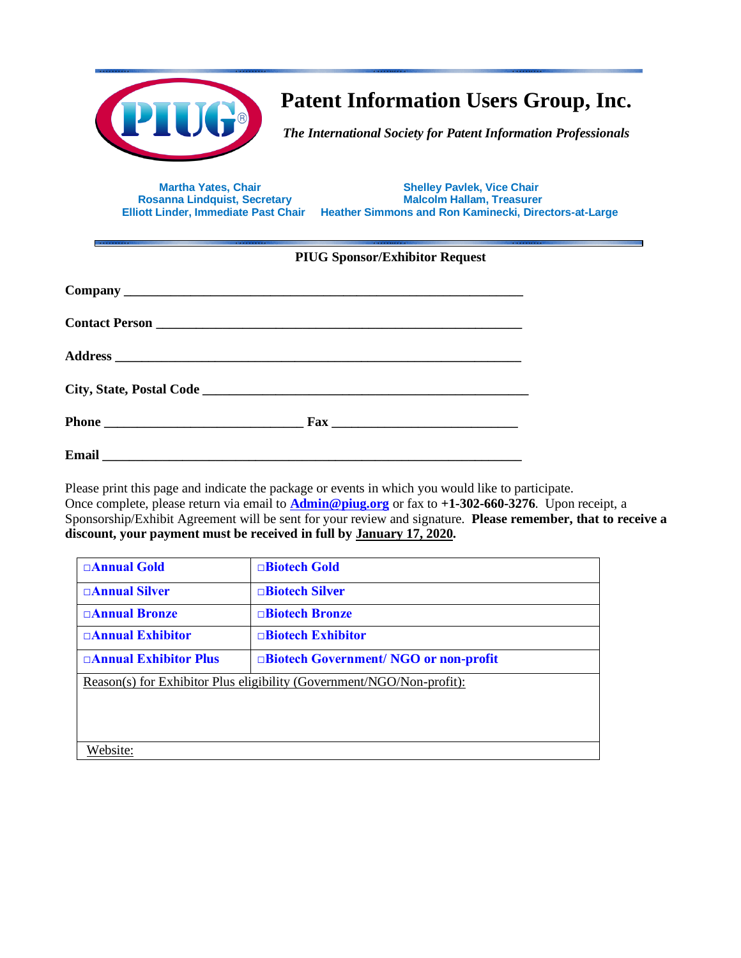|                                                                   | <b>Patent Information Users Group, Inc.</b><br>The International Society for Patent Information Professionals                                                                                                                                                                                                                                                                                           |  |
|-------------------------------------------------------------------|---------------------------------------------------------------------------------------------------------------------------------------------------------------------------------------------------------------------------------------------------------------------------------------------------------------------------------------------------------------------------------------------------------|--|
| <b>Martha Yates, Chair</b><br><b>Rosanna Lindquist, Secretary</b> | <b>Shelley Pavlek, Vice Chair</b><br><b>Malcolm Hallam, Treasurer</b><br>Elliott Linder, Immediate Past Chair Heather Simmons and Ron Kaminecki, Directors-at-Large                                                                                                                                                                                                                                     |  |
|                                                                   | <b>PIUG Sponsor/Exhibitor Request</b>                                                                                                                                                                                                                                                                                                                                                                   |  |
|                                                                   |                                                                                                                                                                                                                                                                                                                                                                                                         |  |
|                                                                   |                                                                                                                                                                                                                                                                                                                                                                                                         |  |
|                                                                   |                                                                                                                                                                                                                                                                                                                                                                                                         |  |
|                                                                   |                                                                                                                                                                                                                                                                                                                                                                                                         |  |
|                                                                   |                                                                                                                                                                                                                                                                                                                                                                                                         |  |
|                                                                   |                                                                                                                                                                                                                                                                                                                                                                                                         |  |
|                                                                   | Please print this page and indicate the package or events in which you would like to participate.<br>Once complete, please return via email to <b>Admin@piug.org</b> or fax to +1-302-660-3276. Upon receipt, a<br>Sponsorship/Exhibit Agreement will be sent for your review and signature. Please remember, that to receive a<br>discount, your payment must be received in full by January 17, 2020. |  |
| □ <b>Annual Gold</b>                                              | □Biotech Gold                                                                                                                                                                                                                                                                                                                                                                                           |  |
| □ <b>Annual Silver</b>                                            | □ <b>Biotech Silver</b>                                                                                                                                                                                                                                                                                                                                                                                 |  |
| □ <b>Annual Bronze</b>                                            | □Biotech Bronze                                                                                                                                                                                                                                                                                                                                                                                         |  |
| □ Annual Exhibitor                                                | $\Box$ Biotech Exhibitor                                                                                                                                                                                                                                                                                                                                                                                |  |
| $\Box$ Annual Exhibitor Plus                                      | <b>EBiotech Government/NGO or non-profit</b>                                                                                                                                                                                                                                                                                                                                                            |  |
|                                                                   | Reason(s) for Exhibitor Plus eligibility (Government/NGO/Non-profit):                                                                                                                                                                                                                                                                                                                                   |  |

Website: